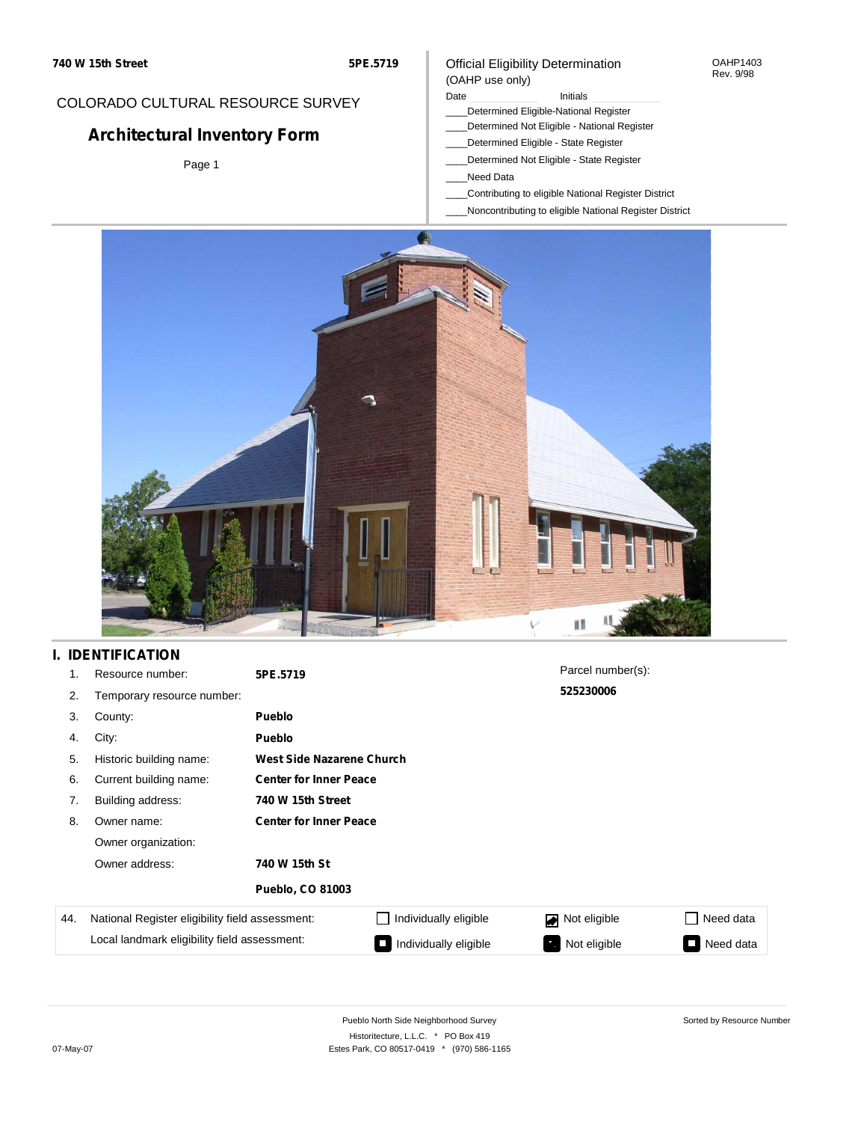### COLORADO CULTURAL RESOURCE SURVEY

## **Architectural Inventory Form**

Page 1

#### Official Eligibility Determination (OAHP use only)

#### Date **Initials** Initials

- \_\_\_\_Determined Eligible-National Register
- \_\_\_\_Determined Not Eligible National Register
- \_\_\_\_Determined Eligible State Register
- \_\_\_\_Determined Not Eligible State Register
- \_\_\_\_Need Data
- \_\_\_\_Contributing to eligible National Register District
- \_\_\_\_Noncontributing to eligible National Register District



### **I. IDENTIFICATION**

| 1.  | Resource number:                                | 5PE.5719                      |                               | Parcel number(s): |           |  |  |  |
|-----|-------------------------------------------------|-------------------------------|-------------------------------|-------------------|-----------|--|--|--|
| 2.  | Temporary resource number:                      |                               |                               | 525230006         |           |  |  |  |
| 3.  | County:                                         | <b>Pueblo</b>                 |                               |                   |           |  |  |  |
| 4.  | City:                                           | <b>Pueblo</b>                 |                               |                   |           |  |  |  |
| 5.  | Historic building name:                         |                               | West Side Nazarene Church     |                   |           |  |  |  |
| 6.  | Current building name:                          |                               | <b>Center for Inner Peace</b> |                   |           |  |  |  |
| 7.  | Building address:                               | 740 W 15th Street             |                               |                   |           |  |  |  |
| 8.  | Owner name:                                     | <b>Center for Inner Peace</b> |                               |                   |           |  |  |  |
|     | Owner organization:                             |                               |                               |                   |           |  |  |  |
|     | Owner address:                                  | 740 W 15th St                 |                               |                   |           |  |  |  |
|     |                                                 | <b>Pueblo, CO 81003</b>       |                               |                   |           |  |  |  |
| 44. | National Register eligibility field assessment: |                               | Individually eligible         | Not eligible      | Need data |  |  |  |
|     | Local landmark eligibility field assessment:    |                               | Individually eligible         | Not eligible      | Need data |  |  |  |

OAHP1403 Rev. 9/98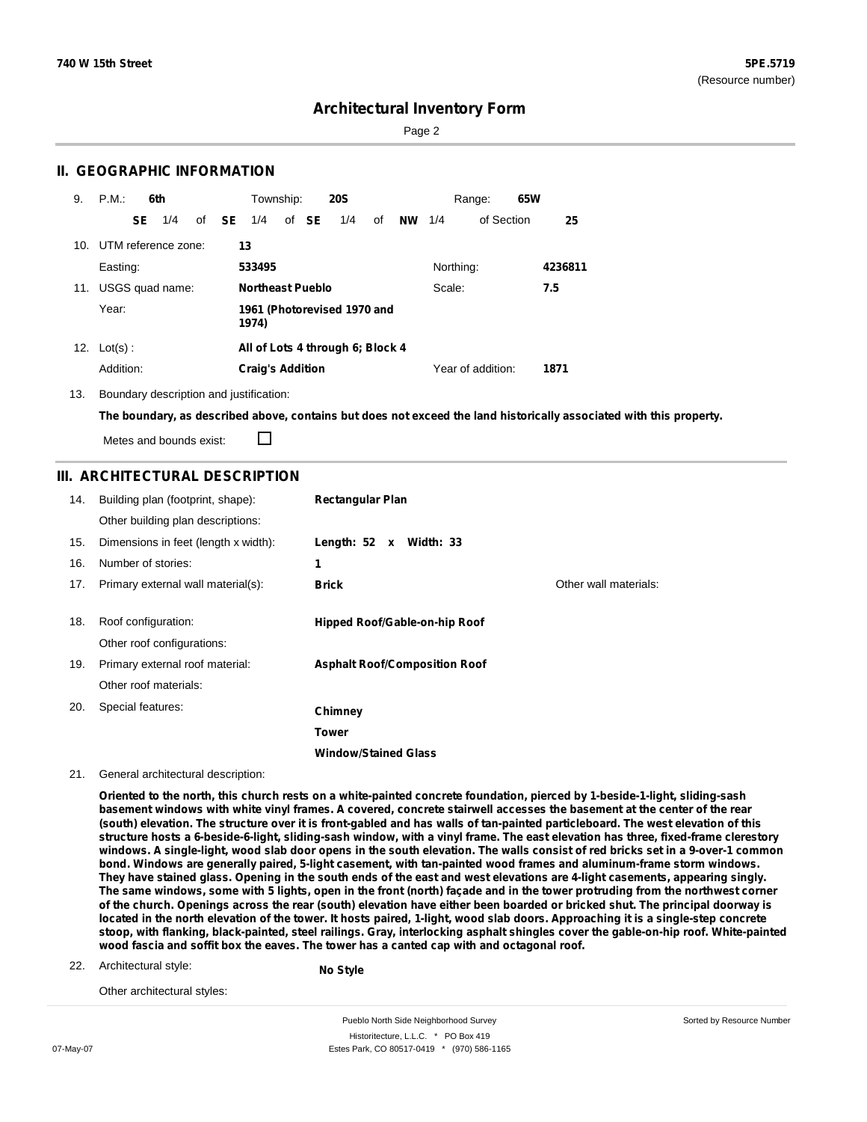Sorted by Resource Number

### **Architectural Inventory Form**

Page 2

### **II. GEOGRAPHIC INFORMATION**

| 9.  | P.M.       |     | 6th                 |              | Township:               |       | <b>20S</b>                       |    |           |           | Range:            | 65W |         |
|-----|------------|-----|---------------------|--------------|-------------------------|-------|----------------------------------|----|-----------|-----------|-------------------|-----|---------|
|     |            | SE. | 1/4                 | of <b>SE</b> | 1/4                     | of SE | 1/4                              | of | <b>NW</b> | 1/4       | of Section        |     | 25      |
| 10. |            |     | UTM reference zone: |              | 13                      |       |                                  |    |           |           |                   |     |         |
|     | Easting:   |     |                     |              | 533495                  |       |                                  |    |           | Northing: |                   |     | 4236811 |
| 11. |            |     | USGS quad name:     |              | <b>Northeast Pueblo</b> |       |                                  |    |           | Scale:    |                   |     | 7.5     |
|     | Year:      |     |                     |              | 1974)                   |       | 1961 (Photorevised 1970 and      |    |           |           |                   |     |         |
| 12. | $Lot(s)$ : |     |                     |              |                         |       | All of Lots 4 through 6; Block 4 |    |           |           |                   |     |         |
|     | Addition:  |     |                     |              | <b>Craig's Addition</b> |       |                                  |    |           |           | Year of addition: |     | 1871    |

13. Boundary description and justification:

The boundary, as described above, contains but does not exceed the land historically associated with this property.

Metes and bounds exist:

П

### **III. ARCHITECTURAL DESCRIPTION**

| 14. | Building plan (footprint, shape):    | <b>Rectangular Plan</b>              |                       |
|-----|--------------------------------------|--------------------------------------|-----------------------|
|     | Other building plan descriptions:    |                                      |                       |
| 15. | Dimensions in feet (length x width): | Length: $52 \times$ Width: 33        |                       |
| 16. | Number of stories:                   | 1                                    |                       |
| 17. | Primary external wall material(s):   | <b>Brick</b>                         | Other wall materials: |
|     |                                      |                                      |                       |
| 18. | Roof configuration:                  | Hipped Roof/Gable-on-hip Roof        |                       |
|     | Other roof configurations:           |                                      |                       |
| 19. | Primary external roof material:      | <b>Asphalt Roof/Composition Roof</b> |                       |
|     | Other roof materials:                |                                      |                       |
| 20. | Special features:                    | Chimney                              |                       |
|     |                                      | Tower                                |                       |
|     |                                      | <b>Window/Stained Glass</b>          |                       |

21. General architectural description:

Oriented to the north, this church rests on a white-painted concrete foundation, pierced by 1-beside-1-light, sliding-sash basement windows with white vinyl frames. A covered, concrete stairwell accesses the basement at the center of the rear (south) elevation. The structure over it is front-gabled and has walls of tan-painted particleboard. The west elevation of this structure hosts a 6-beside-6-light, sliding-sash window, with a vinyl frame. The east elevation has three, fixed-frame clerestory windows. A single-light, wood slab door opens in the south elevation. The walls consist of red bricks set in a 9-over-1 common **bond. Windows are generally paired, 5-light casement, with tan-painted wood frames and aluminum-frame storm windows.** They have stained glass. Opening in the south ends of the east and west elevations are 4-light casements, appearing singly. The same windows, some with 5 lights, open in the front (north) façade and in the tower protruding from the northwest corner of the church. Openings across the rear (south) elevation have either been boarded or bricked shut. The principal doorway is located in the north elevation of the tower. It hosts paired, 1-light, wood slab doors. Approaching it is a single-step concrete stoop, with flanking, black-painted, steel railings. Gray, interlocking asphalt shingles cover the gable-on-hip roof. White-painted **wood fascia and soffit box the eaves. The tower has a canted cap with and octagonal roof.**

22. Architectural style:

```
No Style
```
Other architectural styles: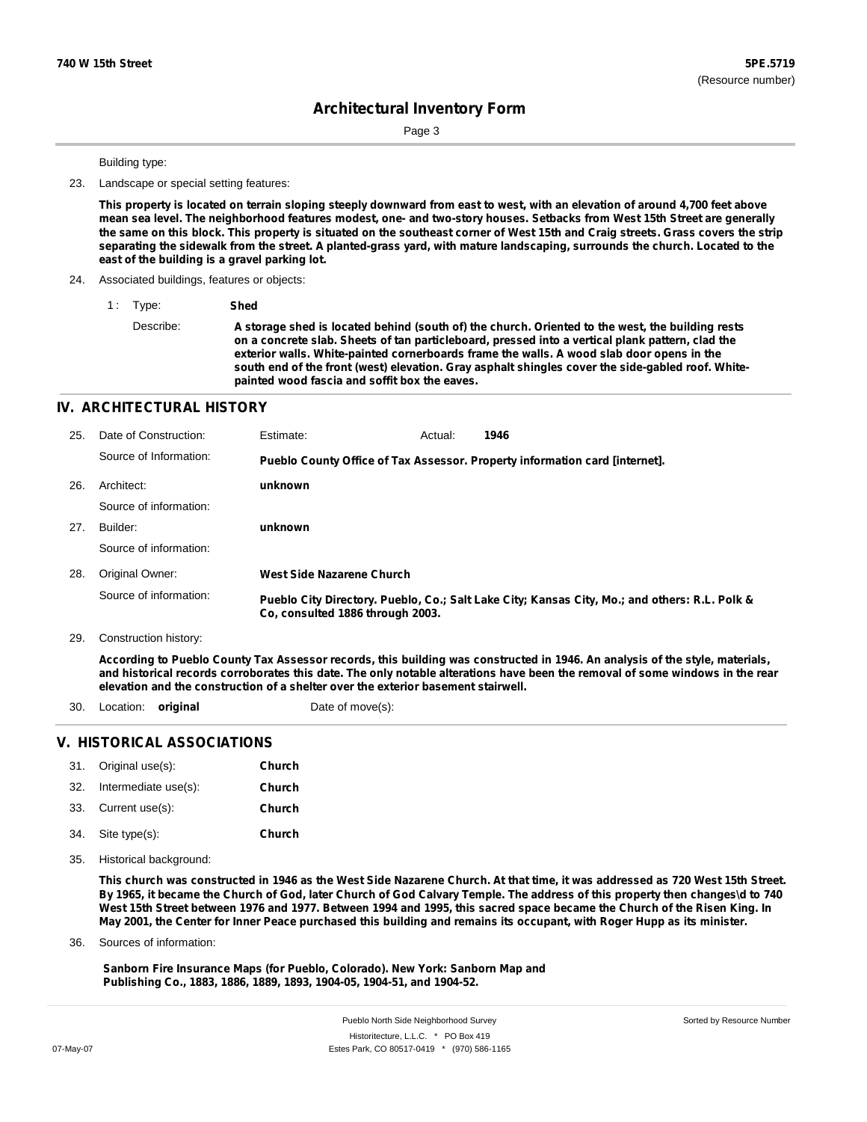Sorted by Resource Number

## **Architectural Inventory Form**

Page 3

Building type:

23. Landscape or special setting features:

This property is located on terrain sloping steeply downward from east to west, with an elevation of around 4,700 feet above mean sea level. The neighborhood features modest, one- and two-story houses. Setbacks from West 15th Street are generally the same on this block. This property is situated on the southeast corner of West 15th and Craig streets. Grass covers the strip separating the sidewalk from the street. A planted-grass yard, with mature landscaping, surrounds the church. Located to the **east of the building is a gravel parking lot.**

24. Associated buildings, features or objects:

1 : Type: **Shed**

Describe: A storage shed is located behind (south of) the church. Oriented to the west, the building rests **on a concrete slab. Sheets of tan particleboard, pressed into a vertical plank pattern, clad the exterior walls. White-painted cornerboards frame the walls. A wood slab door opens in the south end of the front (west) elevation. Gray asphalt shingles cover the side-gabled roof. Whitepainted wood fascia and soffit box the eaves.**

#### **IV. ARCHITECTURAL HISTORY**

| 25. | Date of Construction:  | <b>Estimate:</b>                 | Actual: | 1946                                                                                          |
|-----|------------------------|----------------------------------|---------|-----------------------------------------------------------------------------------------------|
|     | Source of Information: |                                  |         | Pueblo County Office of Tax Assessor. Property information card [internet].                   |
| 26. | Architect:             | unknown                          |         |                                                                                               |
|     | Source of information: |                                  |         |                                                                                               |
| 27. | Builder:               | unknown                          |         |                                                                                               |
|     | Source of information: |                                  |         |                                                                                               |
| 28. | Original Owner:        | West Side Nazarene Church        |         |                                                                                               |
|     | Source of information: | Co. consulted 1886 through 2003. |         | Pueblo City Directory. Pueblo, Co.; Salt Lake City; Kansas City, Mo.; and others: R.L. Polk & |

29. Construction history:

According to Pueblo County Tax Assessor records, this building was constructed in 1946. An analysis of the style, materials, and historical records corroborates this date. The only notable alterations have been the removal of some windows in the rear **elevation and the construction of a shelter over the exterior basement stairwell.**

- 30. Location: **original** Date of move(s):
	-

#### **V. HISTORICAL ASSOCIATIONS**

|     | 31. Original use(s): | Church |
|-----|----------------------|--------|
| 32. | Intermediate use(s): | Church |
|     | 33. Current use(s):  | Church |
|     | 34. Site type(s):    | Church |

35. Historical background:

This church was constructed in 1946 as the West Side Nazarene Church. At that time, it was addressed as 720 West 15th Street. By 1965, it became the Church of God, later Church of God Calvary Temple. The address of this property then changes\d to 740 West 15th Street between 1976 and 1977. Between 1994 and 1995, this sacred space became the Church of the Risen King. In May 2001, the Center for Inner Peace purchased this building and remains its occupant, with Roger Hupp as its minister.

Sources of information: 36.

> **Sanborn Fire Insurance Maps (for Pueblo, Colorado). New York: Sanborn Map and Publishing Co., 1883, 1886, 1889, 1893, 1904-05, 1904-51, and 1904-52.**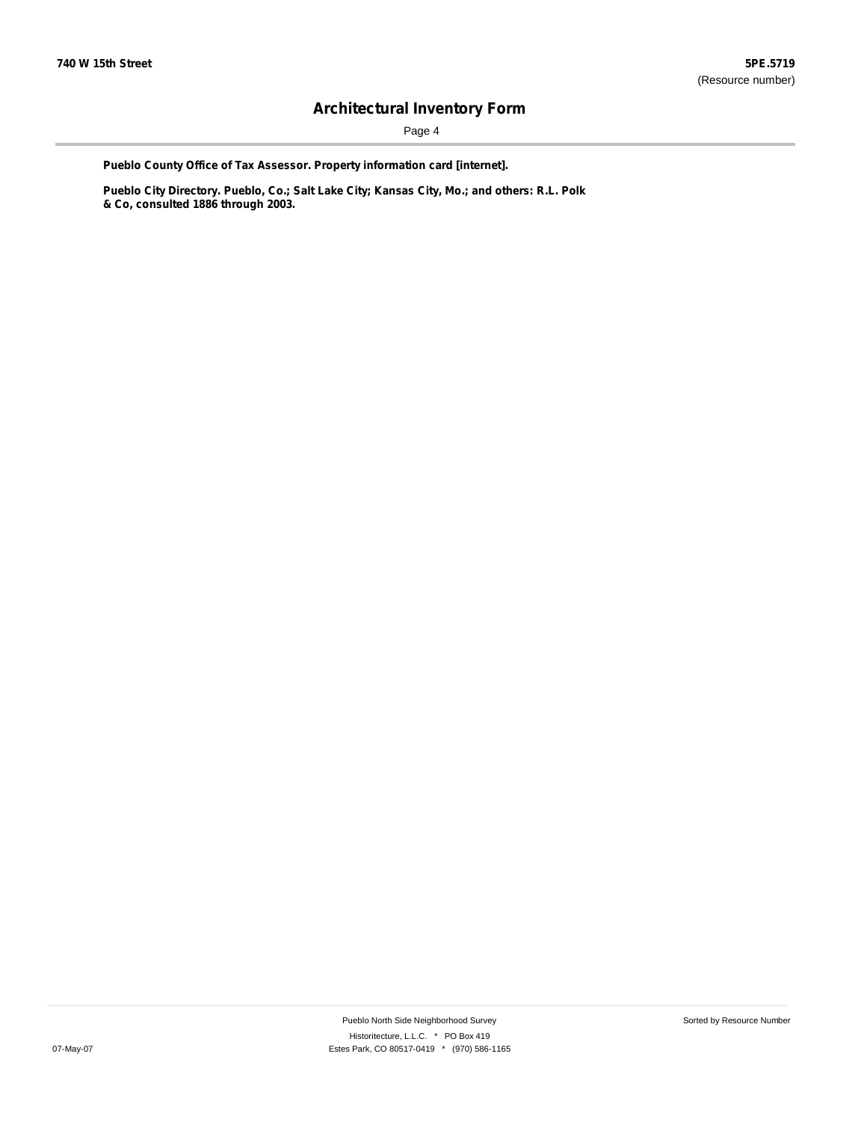Page 4

**Pueblo County Office of Tax Assessor. Property information card [internet].**

**Pueblo City Directory. Pueblo, Co.; Salt Lake City; Kansas City, Mo.; and others: R.L. Polk & Co, consulted 1886 through 2003.**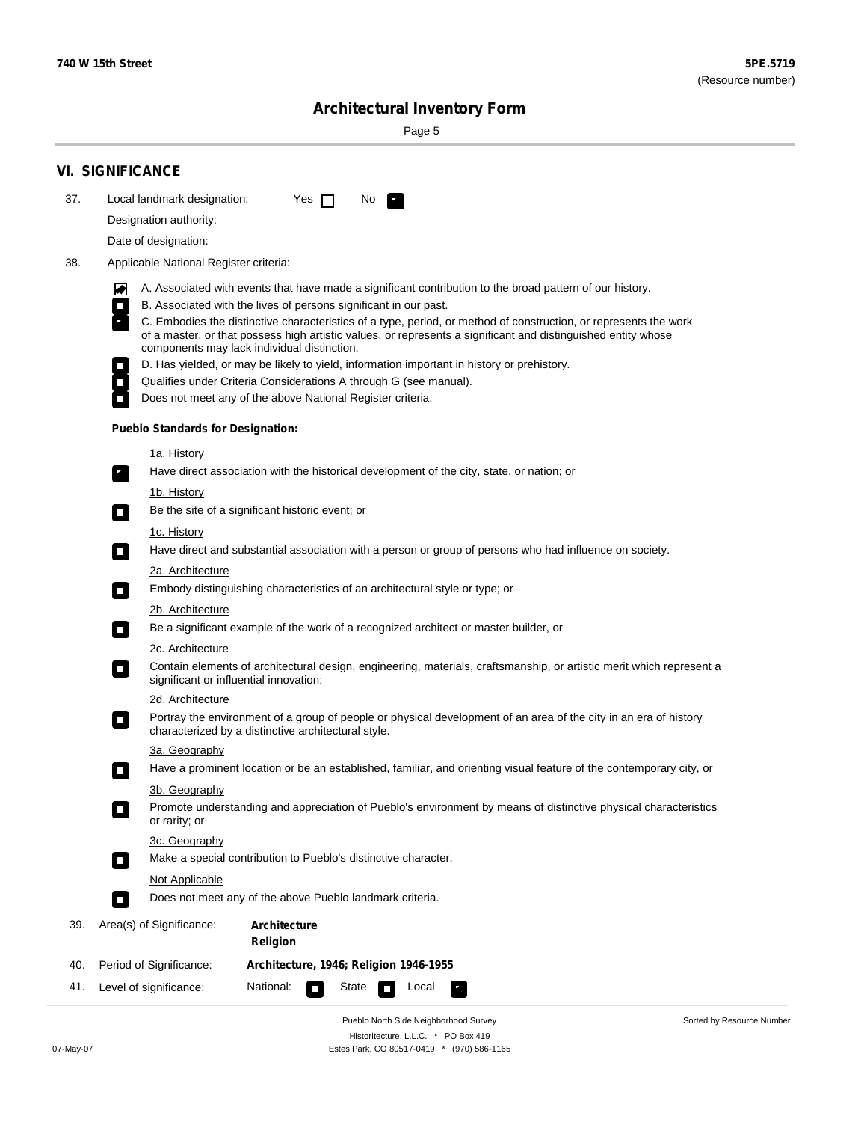Page 5

| 37. | Local landmark designation:<br>Designation authority:                                            | Yes $\Box$                             |  |       | No. | $\mathcal{F}_\alpha$                                                                                                 |  |  |  |
|-----|--------------------------------------------------------------------------------------------------|----------------------------------------|--|-------|-----|----------------------------------------------------------------------------------------------------------------------|--|--|--|
|     | Date of designation:                                                                             |                                        |  |       |     |                                                                                                                      |  |  |  |
| 38. | Applicable National Register criteria:                                                           |                                        |  |       |     |                                                                                                                      |  |  |  |
|     |                                                                                                  |                                        |  |       |     |                                                                                                                      |  |  |  |
|     | 丙<br>B. Associated with the lives of persons significant in our past.<br>$\Box$                  |                                        |  |       |     | A. Associated with events that have made a significant contribution to the broad pattern of our history.             |  |  |  |
|     |                                                                                                  |                                        |  |       |     | C. Embodies the distinctive characteristics of a type, period, or method of construction, or represents the work     |  |  |  |
|     | components may lack individual distinction.                                                      |                                        |  |       |     | of a master, or that possess high artistic values, or represents a significant and distinguished entity whose        |  |  |  |
|     |                                                                                                  |                                        |  |       |     | D. Has yielded, or may be likely to yield, information important in history or prehistory.                           |  |  |  |
|     | Qualifies under Criteria Considerations A through G (see manual).<br>$\mathcal{L}_{\mathcal{A}}$ |                                        |  |       |     |                                                                                                                      |  |  |  |
|     | Does not meet any of the above National Register criteria.                                       |                                        |  |       |     |                                                                                                                      |  |  |  |
|     | <b>Pueblo Standards for Designation:</b>                                                         |                                        |  |       |     |                                                                                                                      |  |  |  |
|     | 1a. History                                                                                      |                                        |  |       |     |                                                                                                                      |  |  |  |
|     | $\mathbf{r}_i$                                                                                   |                                        |  |       |     | Have direct association with the historical development of the city, state, or nation; or                            |  |  |  |
|     | <u>1b. History</u>                                                                               |                                        |  |       |     |                                                                                                                      |  |  |  |
|     | Be the site of a significant historic event; or<br>$\Box$                                        |                                        |  |       |     |                                                                                                                      |  |  |  |
|     | 1c. History<br>о                                                                                 |                                        |  |       |     | Have direct and substantial association with a person or group of persons who had influence on society.              |  |  |  |
|     | <b>2a. Architecture</b>                                                                          |                                        |  |       |     |                                                                                                                      |  |  |  |
|     | $\Box$                                                                                           |                                        |  |       |     | Embody distinguishing characteristics of an architectural style or type; or                                          |  |  |  |
|     | <u> 2b. Architecture</u>                                                                         |                                        |  |       |     |                                                                                                                      |  |  |  |
|     | $\Box$                                                                                           |                                        |  |       |     | Be a significant example of the work of a recognized architect or master builder, or                                 |  |  |  |
|     | 2c. Architecture                                                                                 |                                        |  |       |     |                                                                                                                      |  |  |  |
|     | О<br>significant or influential innovation;                                                      |                                        |  |       |     | Contain elements of architectural design, engineering, materials, craftsmanship, or artistic merit which represent a |  |  |  |
|     | 2d. Architecture                                                                                 |                                        |  |       |     |                                                                                                                      |  |  |  |
|     | О<br>characterized by a distinctive architectural style.                                         |                                        |  |       |     | Portray the environment of a group of people or physical development of an area of the city in an era of history     |  |  |  |
|     | 3a. Geography                                                                                    |                                        |  |       |     |                                                                                                                      |  |  |  |
|     |                                                                                                  |                                        |  |       |     | Have a prominent location or be an established, familiar, and orienting visual feature of the contemporary city, or  |  |  |  |
|     | 3b. Geography<br>or rarity; or                                                                   |                                        |  |       |     | Promote understanding and appreciation of Pueblo's environment by means of distinctive physical characteristics      |  |  |  |
|     | 3c. Geography                                                                                    |                                        |  |       |     |                                                                                                                      |  |  |  |
|     | Make a special contribution to Pueblo's distinctive character.<br>$\Box$                         |                                        |  |       |     |                                                                                                                      |  |  |  |
|     | <b>Not Applicable</b>                                                                            |                                        |  |       |     |                                                                                                                      |  |  |  |
|     | Does not meet any of the above Pueblo landmark criteria.<br>п                                    |                                        |  |       |     |                                                                                                                      |  |  |  |
| 39. | Area(s) of Significance:                                                                         | <b>Architecture</b><br><b>Religion</b> |  |       |     |                                                                                                                      |  |  |  |
| 40. | Period of Significance:                                                                          | Architecture, 1946; Religion 1946-1955 |  |       |     |                                                                                                                      |  |  |  |
| 41. | Level of significance:                                                                           | National:                              |  | State |     | Local                                                                                                                |  |  |  |

Pueblo North Side Neighborhood Survey Historitecture, L.L.C. \* PO Box 419 07-May-07 Estes Park, CO 80517-0419 \* (970) 586-1165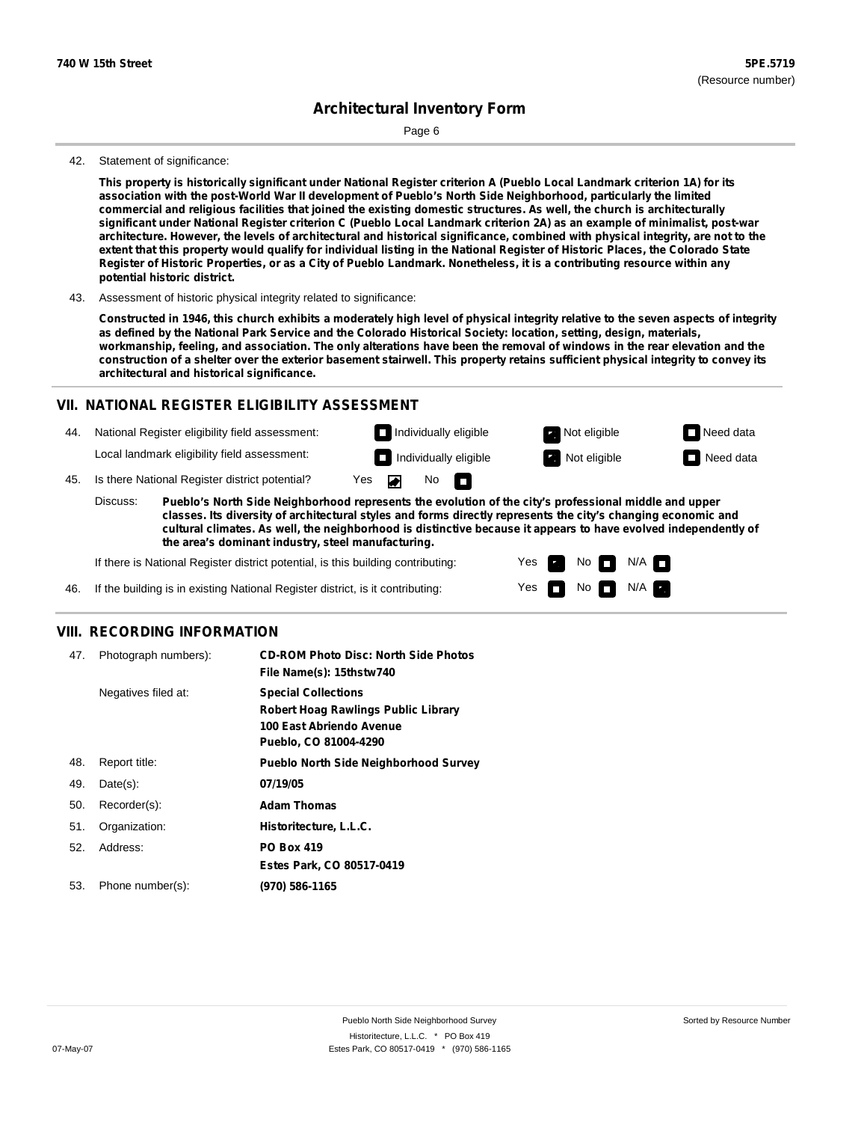Page 6

#### 42. Statement of significance:

This property is historically significant under National Register criterion A (Pueblo Local Landmark criterion 1A) for its **association with the post-World War II development of Pueblo's North Side Neighborhood, particularly the limited** commercial and religious facilities that joined the existing domestic structures. As well, the church is architecturally significant under National Register criterion C (Pueblo Local Landmark criterion 2A) as an example of minimalist, post-war architecture. However, the levels of architectural and historical significance, combined with physical integrity, are not to the extent that this property would qualify for individual listing in the National Register of Historic Places, the Colorado State Register of Historic Properties, or as a City of Pueblo Landmark. Nonetheless, it is a contributing resource within any **potential historic district.**

43. Assessment of historic physical integrity related to significance:

Constructed in 1946, this church exhibits a moderately high level of physical integrity relative to the seven aspects of integrity as defined by the National Park Service and the Colorado Historical Society: location, setting, design, materials, workmanship, feeling, and association. The only alterations have been the removal of windows in the rear elevation and the construction of a shelter over the exterior basement stairwell. This property retains sufficient physical integrity to convey its **architectural and historical significance.**

#### **VII. NATIONAL REGISTER ELIGIBILITY ASSESSMENT**

- 44. National Register eligibility field assessment: Local landmark eligibility field assessment:
- 45. Is there National Register district potential? Yes **Individually eligible Not eligible** Not eligible **Need data**

**Pueblo's North Side Neighborhood represents the evolution of the city's professional middle and upper classes. Its diversity of architectural styles and forms directly represents the city's changing economic and cultural climates. As well, the neighborhood is distinctive because it appears to have evolved independently of the area's dominant industry, steel manufacturing.** Discuss:

No

m

Yes Yes No

**Individually eligible Not eligible** Not eligible **Need data** 

 $No$   $\neg$   $N/A$ 

 $N/A$ 

If there is National Register district potential, is this building contributing:

If the building is in existing National Register district, is it contributing: 46.

#### **VIII. RECORDING INFORMATION**

| 47. | Photograph numbers): | <b>CD-ROM Photo Disc: North Side Photos</b><br>File Name(s): 15thstw740                                                       |
|-----|----------------------|-------------------------------------------------------------------------------------------------------------------------------|
|     | Negatives filed at:  | <b>Special Collections</b><br><b>Robert Hoag Rawlings Public Library</b><br>100 East Abriendo Avenue<br>Pueblo, CO 81004-4290 |
| 48. | Report title:        | <b>Pueblo North Side Neighborhood Survey</b>                                                                                  |
| 49. | $Date(s)$ :          | 07/19/05                                                                                                                      |
| 50. | Recorder(s):         | <b>Adam Thomas</b>                                                                                                            |
| 51. | Organization:        | Historitecture, L.L.C.                                                                                                        |
| 52. | Address:             | <b>PO Box 419</b>                                                                                                             |
|     |                      | Estes Park, CO 80517-0419                                                                                                     |
| 53. | Phone number(s):     | (970) 586-1165                                                                                                                |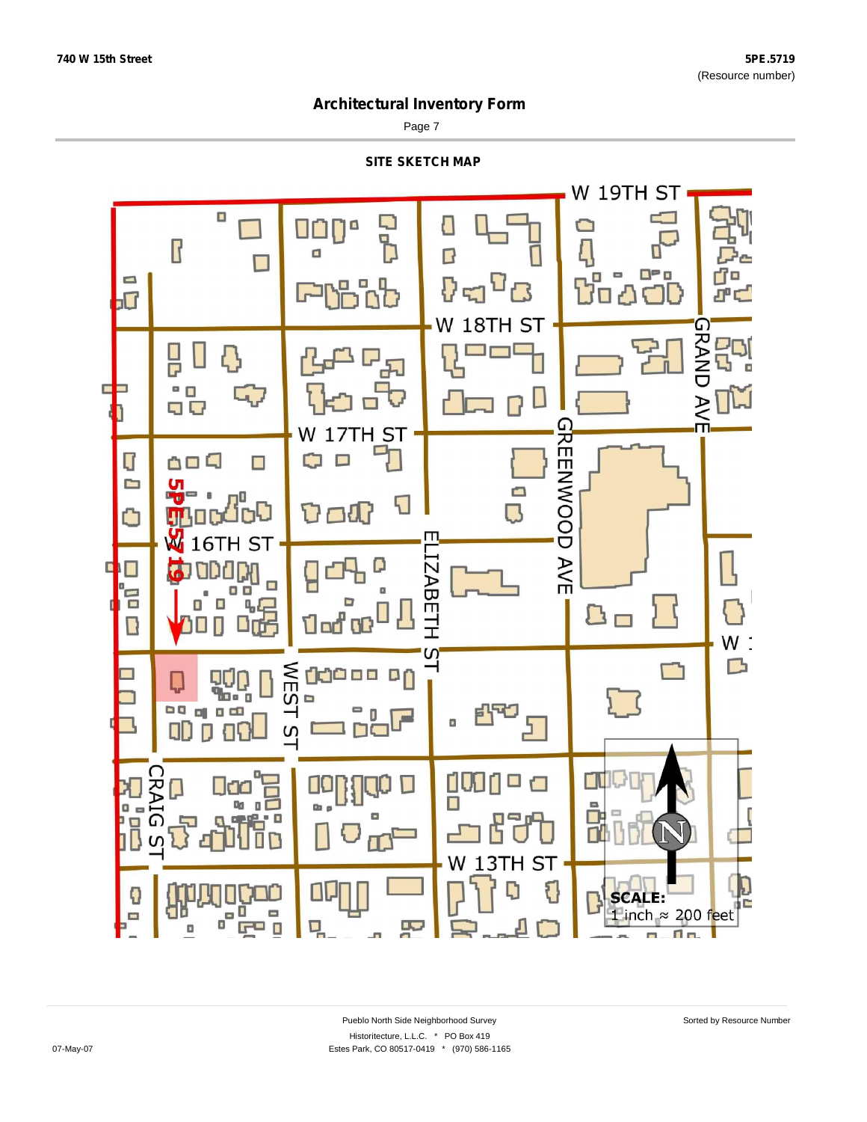Page 7